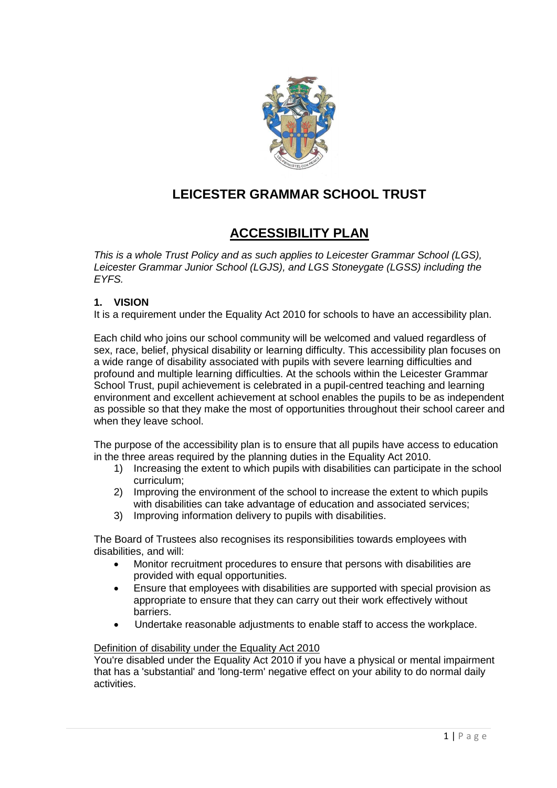

# **LEICESTER GRAMMAR SCHOOL TRUST**

# **ACCESSIBILITY PLAN**

*This is a whole Trust Policy and as such applies to Leicester Grammar School (LGS), Leicester Grammar Junior School (LGJS), and LGS Stoneygate (LGSS) including the EYFS.* 

### **1. VISION**

It is a requirement under the Equality Act 2010 for schools to have an accessibility plan.

Each child who joins our school community will be welcomed and valued regardless of sex, race, belief, physical disability or learning difficulty. This accessibility plan focuses on a wide range of disability associated with pupils with severe learning difficulties and profound and multiple learning difficulties. At the schools within the Leicester Grammar School Trust, pupil achievement is celebrated in a pupil-centred teaching and learning environment and excellent achievement at school enables the pupils to be as independent as possible so that they make the most of opportunities throughout their school career and when they leave school.

The purpose of the accessibility plan is to ensure that all pupils have access to education in the three areas required by the planning duties in the Equality Act 2010.

- 1) Increasing the extent to which pupils with disabilities can participate in the school curriculum;
- 2) Improving the environment of the school to increase the extent to which pupils with disabilities can take advantage of education and associated services:
- 3) Improving information delivery to pupils with disabilities.

The Board of Trustees also recognises its responsibilities towards employees with disabilities, and will:

- Monitor recruitment procedures to ensure that persons with disabilities are provided with equal opportunities.
- Ensure that employees with disabilities are supported with special provision as appropriate to ensure that they can carry out their work effectively without barriers.
- Undertake reasonable adjustments to enable staff to access the workplace.

#### Definition of disability under the Equality Act 2010

You're disabled under the Equality Act 2010 if you have a physical or mental impairment that has a 'substantial' and 'long-term' negative effect on your ability to do normal daily activities.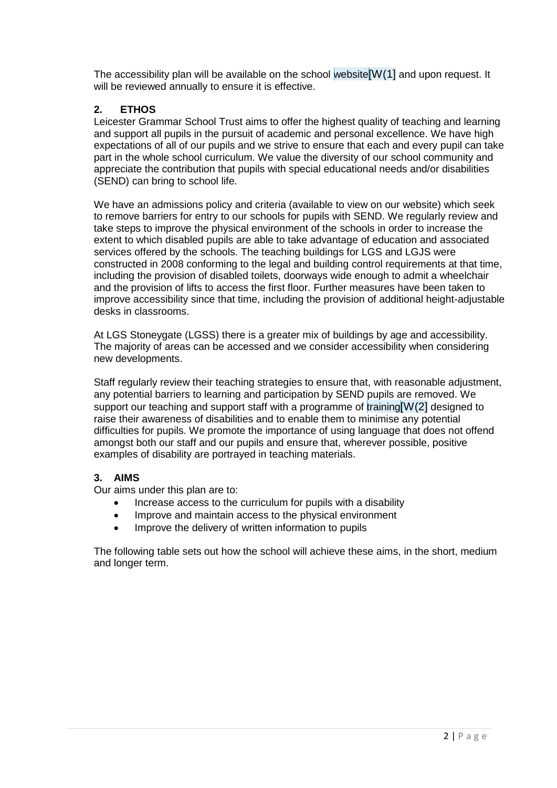The accessibility plan will be available on the school website[W(1] and upon request. It will be reviewed annually to ensure it is effective.

### **2. ETHOS**

Leicester Grammar School Trust aims to offer the highest quality of teaching and learning and support all pupils in the pursuit of academic and personal excellence. We have high expectations of all of our pupils and we strive to ensure that each and every pupil can take part in the whole school curriculum. We value the diversity of our school community and appreciate the contribution that pupils with special educational needs and/or disabilities (SEND) can bring to school life.

We have an admissions policy and criteria (available to view on our website) which seek to remove barriers for entry to our schools for pupils with SEND. We regularly review and take steps to improve the physical environment of the schools in order to increase the extent to which disabled pupils are able to take advantage of education and associated services offered by the schools. The teaching buildings for LGS and LGJS were constructed in 2008 conforming to the legal and building control requirements at that time, including the provision of disabled toilets, doorways wide enough to admit a wheelchair and the provision of lifts to access the first floor. Further measures have been taken to improve accessibility since that time, including the provision of additional height-adjustable desks in classrooms.

At LGS Stoneygate (LGSS) there is a greater mix of buildings by age and accessibility. The majority of areas can be accessed and we consider accessibility when considering new developments.

Staff regularly review their teaching strategies to ensure that, with reasonable adjustment, any potential barriers to learning and participation by SEND pupils are removed. We support our teaching and support staff with a programme of training [W(2] designed to raise their awareness of disabilities and to enable them to minimise any potential difficulties for pupils. We promote the importance of using language that does not offend amongst both our staff and our pupils and ensure that, wherever possible, positive examples of disability are portrayed in teaching materials.

#### **3. AIMS**

Our aims under this plan are to:

- Increase access to the curriculum for pupils with a disability
- Improve and maintain access to the physical environment
- Improve the delivery of written information to pupils

The following table sets out how the school will achieve these aims, in the short, medium and longer term.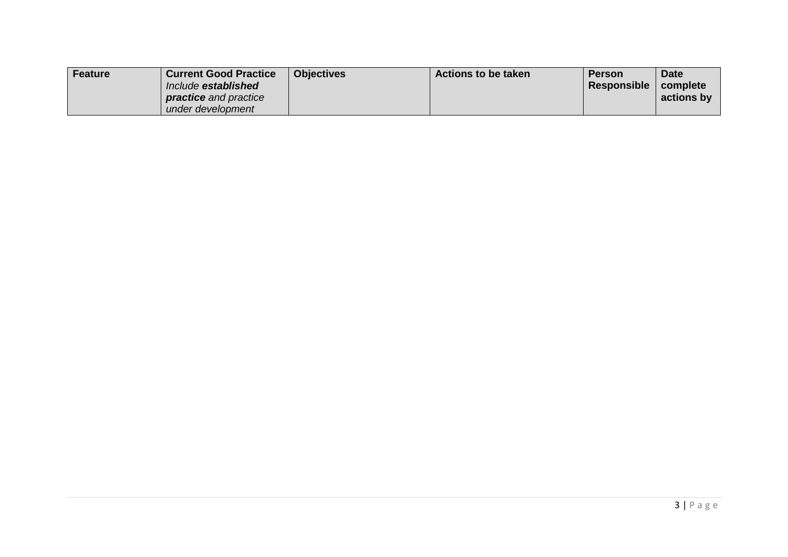| Feature | <b>Current Good Practice</b> | <b>Objectives</b> | <b>Actions to be taken</b> | <b>Person</b> | <b>Date</b> |
|---------|------------------------------|-------------------|----------------------------|---------------|-------------|
|         | Include established          |                   |                            | Responsible   | complete    |
|         | <b>practice</b> and practice |                   |                            |               | actions by  |
|         | under development            |                   |                            |               |             |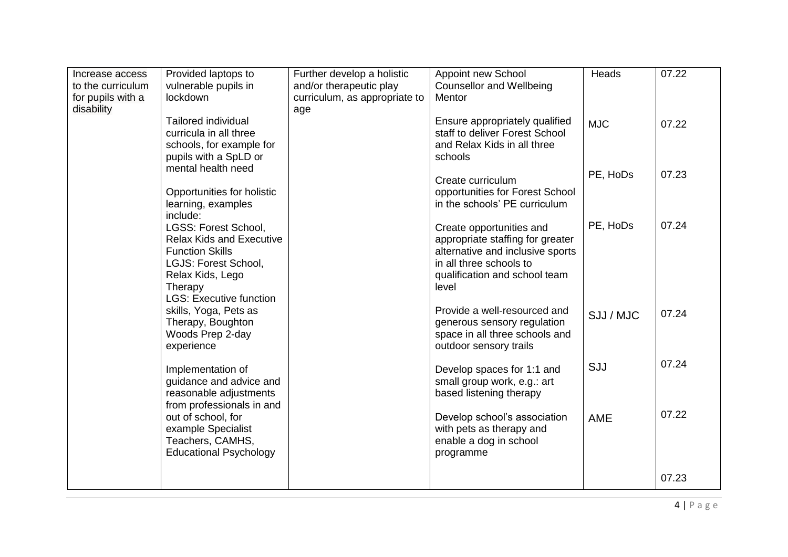| Increase access                 | Provided laptops to                                                                                                                                  | Further develop a holistic           | Appoint new School                                                                                                                                                    | Heads      | 07.22 |
|---------------------------------|------------------------------------------------------------------------------------------------------------------------------------------------------|--------------------------------------|-----------------------------------------------------------------------------------------------------------------------------------------------------------------------|------------|-------|
| to the curriculum               | vulnerable pupils in<br>lockdown                                                                                                                     | and/or therapeutic play              | <b>Counsellor and Wellbeing</b><br>Mentor                                                                                                                             |            |       |
| for pupils with a<br>disability |                                                                                                                                                      | curriculum, as appropriate to<br>age |                                                                                                                                                                       |            |       |
|                                 | <b>Tailored individual</b><br>curricula in all three<br>schools, for example for<br>pupils with a SpLD or                                            |                                      | Ensure appropriately qualified<br>staff to deliver Forest School<br>and Relax Kids in all three<br>schools                                                            | <b>MJC</b> | 07.22 |
|                                 | mental health need<br>Opportunities for holistic<br>learning, examples                                                                               |                                      | Create curriculum<br>opportunities for Forest School<br>in the schools' PE curriculum                                                                                 | PE, HoDs   | 07.23 |
|                                 | include:<br>LGSS: Forest School,<br><b>Relax Kids and Executive</b><br><b>Function Skills</b><br>LGJS: Forest School,<br>Relax Kids, Lego<br>Therapy |                                      | Create opportunities and<br>appropriate staffing for greater<br>alternative and inclusive sports<br>in all three schools to<br>qualification and school team<br>level | PE, HoDs   | 07.24 |
|                                 | <b>LGS: Executive function</b><br>skills, Yoga, Pets as<br>Therapy, Boughton<br>Woods Prep 2-day<br>experience                                       |                                      | Provide a well-resourced and<br>generous sensory regulation<br>space in all three schools and<br>outdoor sensory trails                                               | SJJ / MJC  | 07.24 |
|                                 | Implementation of<br>guidance and advice and<br>reasonable adjustments<br>from professionals in and                                                  |                                      | Develop spaces for 1:1 and<br>small group work, e.g.: art<br>based listening therapy                                                                                  | SJJ        | 07.24 |
|                                 | out of school, for<br>example Specialist<br>Teachers, CAMHS,<br><b>Educational Psychology</b>                                                        |                                      | Develop school's association<br>with pets as therapy and<br>enable a dog in school<br>programme                                                                       | AME        | 07.22 |
|                                 |                                                                                                                                                      |                                      |                                                                                                                                                                       |            | 07.23 |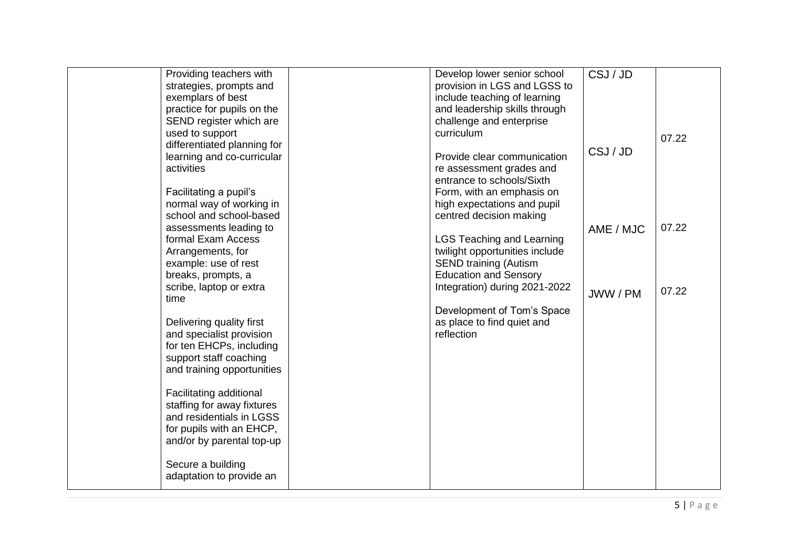| Providing teachers with     | Develop lower senior school      | CSJ/JD    |       |
|-----------------------------|----------------------------------|-----------|-------|
| strategies, prompts and     | provision in LGS and LGSS to     |           |       |
| exemplars of best           | include teaching of learning     |           |       |
| practice for pupils on the  | and leadership skills through    |           |       |
| SEND register which are     | challenge and enterprise         |           |       |
| used to support             | curriculum                       |           | 07.22 |
| differentiated planning for |                                  |           |       |
| learning and co-curricular  | Provide clear communication      | CSJ/JD    |       |
| activities                  | re assessment grades and         |           |       |
|                             | entrance to schools/Sixth        |           |       |
| Facilitating a pupil's      | Form, with an emphasis on        |           |       |
| normal way of working in    | high expectations and pupil      |           |       |
| school and school-based     | centred decision making          |           |       |
| assessments leading to      |                                  | AME / MJC | 07.22 |
| formal Exam Access          | <b>LGS Teaching and Learning</b> |           |       |
| Arrangements, for           | twilight opportunities include   |           |       |
| example: use of rest        | <b>SEND training (Autism</b>     |           |       |
| breaks, prompts, a          | <b>Education and Sensory</b>     |           |       |
| scribe, laptop or extra     | Integration) during 2021-2022    |           | 07.22 |
| time                        |                                  | JWW / PM  |       |
|                             | Development of Tom's Space       |           |       |
| Delivering quality first    | as place to find quiet and       |           |       |
| and specialist provision    | reflection                       |           |       |
| for ten EHCPs, including    |                                  |           |       |
| support staff coaching      |                                  |           |       |
| and training opportunities  |                                  |           |       |
|                             |                                  |           |       |
| Facilitating additional     |                                  |           |       |
| staffing for away fixtures  |                                  |           |       |
| and residentials in LGSS    |                                  |           |       |
| for pupils with an EHCP,    |                                  |           |       |
| and/or by parental top-up   |                                  |           |       |
|                             |                                  |           |       |
| Secure a building           |                                  |           |       |
| adaptation to provide an    |                                  |           |       |
|                             |                                  |           |       |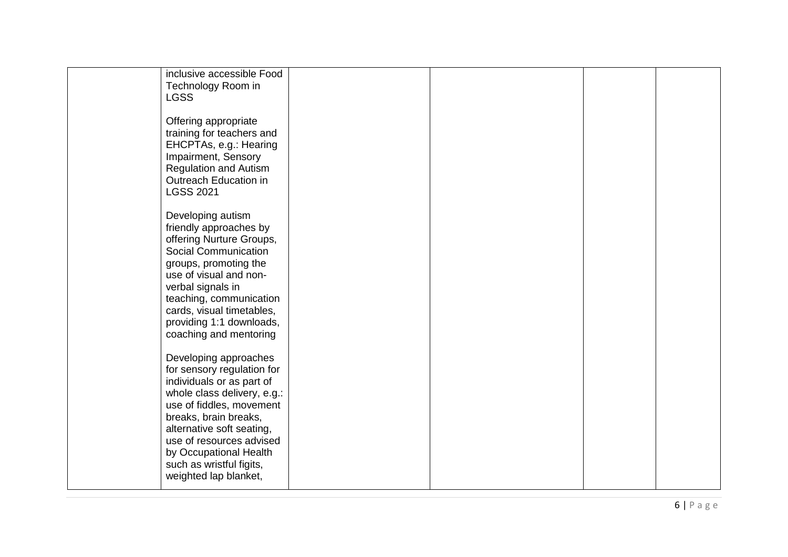| inclusive accessible Food    |  |  |
|------------------------------|--|--|
|                              |  |  |
| Technology Room in           |  |  |
| <b>LGSS</b>                  |  |  |
|                              |  |  |
|                              |  |  |
|                              |  |  |
| Offering appropriate         |  |  |
| training for teachers and    |  |  |
|                              |  |  |
| EHCPTAs, e.g.: Hearing       |  |  |
| Impairment, Sensory          |  |  |
|                              |  |  |
| <b>Regulation and Autism</b> |  |  |
| Outreach Education in        |  |  |
|                              |  |  |
| <b>LGSS 2021</b>             |  |  |
|                              |  |  |
|                              |  |  |
| Developing autism            |  |  |
|                              |  |  |
| friendly approaches by       |  |  |
| offering Nurture Groups,     |  |  |
|                              |  |  |
| Social Communication         |  |  |
|                              |  |  |
| groups, promoting the        |  |  |
| use of visual and non-       |  |  |
|                              |  |  |
| verbal signals in            |  |  |
| teaching, communication      |  |  |
|                              |  |  |
| cards, visual timetables,    |  |  |
| providing 1:1 downloads,     |  |  |
|                              |  |  |
| coaching and mentoring       |  |  |
|                              |  |  |
|                              |  |  |
| Developing approaches        |  |  |
| for sensory regulation for   |  |  |
|                              |  |  |
| individuals or as part of    |  |  |
| whole class delivery, e.g.:  |  |  |
|                              |  |  |
| use of fiddles, movement     |  |  |
|                              |  |  |
| breaks, brain breaks,        |  |  |
| alternative soft seating,    |  |  |
|                              |  |  |
| use of resources advised     |  |  |
| by Occupational Health       |  |  |
|                              |  |  |
| such as wristful figits,     |  |  |
| weighted lap blanket,        |  |  |
|                              |  |  |
|                              |  |  |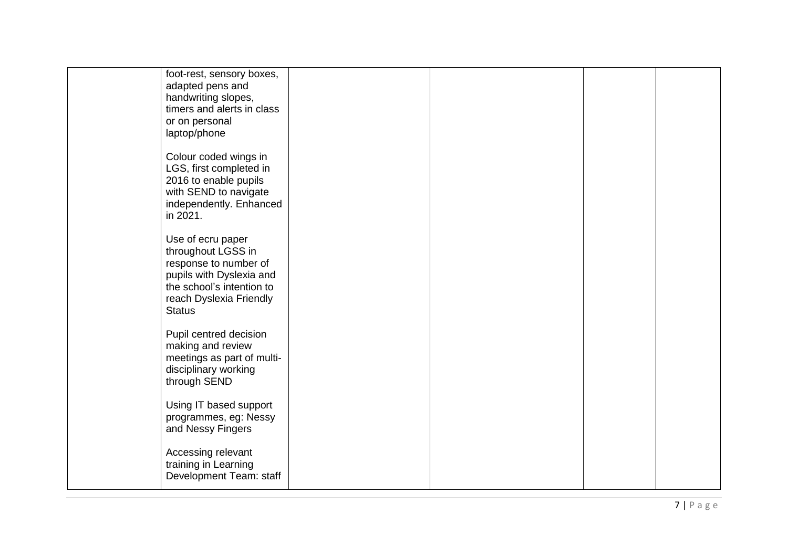| foot-rest, sensory boxes,  |  |  |
|----------------------------|--|--|
| adapted pens and           |  |  |
| handwriting slopes,        |  |  |
| timers and alerts in class |  |  |
|                            |  |  |
| or on personal             |  |  |
| laptop/phone               |  |  |
|                            |  |  |
| Colour coded wings in      |  |  |
|                            |  |  |
| LGS, first completed in    |  |  |
| 2016 to enable pupils      |  |  |
| with SEND to navigate      |  |  |
| independently. Enhanced    |  |  |
| in 2021.                   |  |  |
|                            |  |  |
|                            |  |  |
| Use of ecru paper          |  |  |
| throughout LGSS in         |  |  |
| response to number of      |  |  |
| pupils with Dyslexia and   |  |  |
|                            |  |  |
| the school's intention to  |  |  |
| reach Dyslexia Friendly    |  |  |
| <b>Status</b>              |  |  |
|                            |  |  |
| Pupil centred decision     |  |  |
|                            |  |  |
| making and review          |  |  |
| meetings as part of multi- |  |  |
| disciplinary working       |  |  |
| through SEND               |  |  |
|                            |  |  |
| Using IT based support     |  |  |
|                            |  |  |
| programmes, eg: Nessy      |  |  |
| and Nessy Fingers          |  |  |
|                            |  |  |
| Accessing relevant         |  |  |
|                            |  |  |
| training in Learning       |  |  |
| Development Team: staff    |  |  |
|                            |  |  |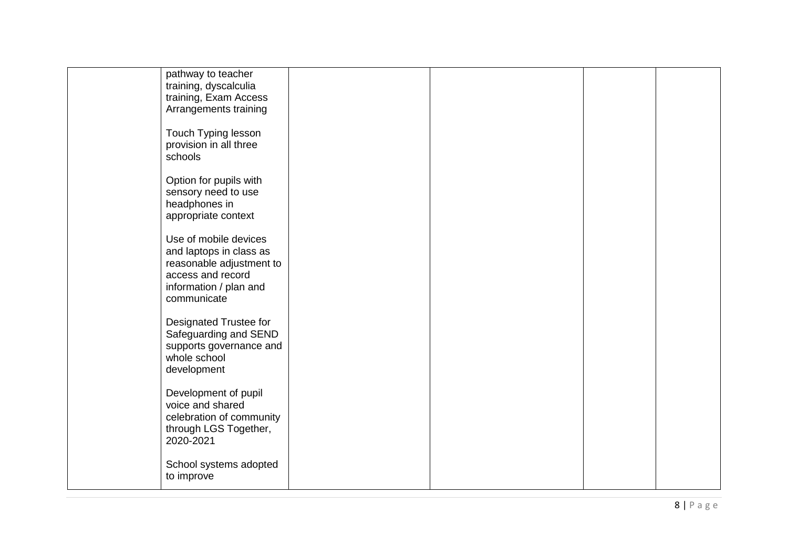| pathway to teacher<br>training, dyscalculia<br>training, Exam Access<br>Arrangements training                                              |  |  |
|--------------------------------------------------------------------------------------------------------------------------------------------|--|--|
| Touch Typing lesson<br>provision in all three<br>schools                                                                                   |  |  |
| Option for pupils with<br>sensory need to use<br>headphones in<br>appropriate context                                                      |  |  |
| Use of mobile devices<br>and laptops in class as<br>reasonable adjustment to<br>access and record<br>information / plan and<br>communicate |  |  |
| Designated Trustee for<br>Safeguarding and SEND<br>supports governance and<br>whole school<br>development                                  |  |  |
| Development of pupil<br>voice and shared<br>celebration of community<br>through LGS Together,<br>2020-2021                                 |  |  |
| School systems adopted<br>to improve                                                                                                       |  |  |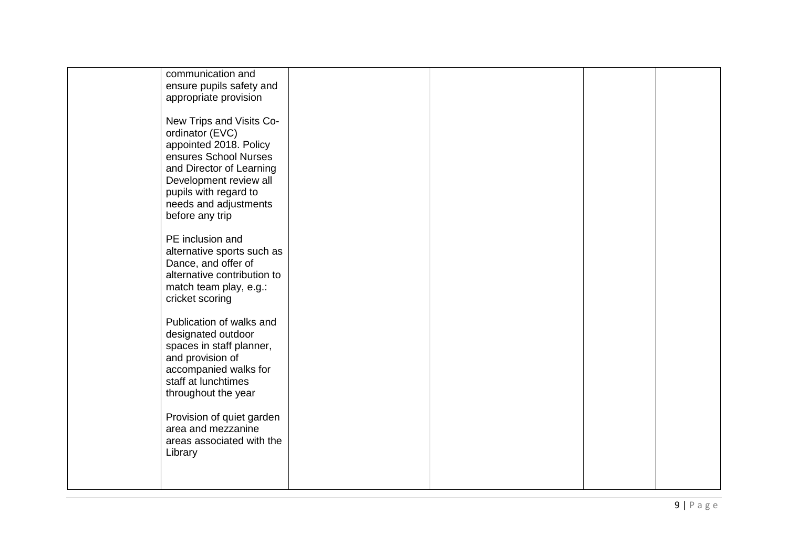| communication and<br>ensure pupils safety and     |  |  |
|---------------------------------------------------|--|--|
| appropriate provision                             |  |  |
| New Trips and Visits Co-<br>ordinator (EVC)       |  |  |
| appointed 2018. Policy                            |  |  |
| ensures School Nurses<br>and Director of Learning |  |  |
| Development review all                            |  |  |
| pupils with regard to<br>needs and adjustments    |  |  |
| before any trip                                   |  |  |
| PE inclusion and                                  |  |  |
| alternative sports such as<br>Dance, and offer of |  |  |
| alternative contribution to                       |  |  |
| match team play, e.g.:<br>cricket scoring         |  |  |
| Publication of walks and                          |  |  |
| designated outdoor                                |  |  |
| spaces in staff planner,<br>and provision of      |  |  |
| accompanied walks for<br>staff at lunchtimes      |  |  |
| throughout the year                               |  |  |
| Provision of quiet garden                         |  |  |
| area and mezzanine                                |  |  |
| areas associated with the<br>Library              |  |  |
|                                                   |  |  |
|                                                   |  |  |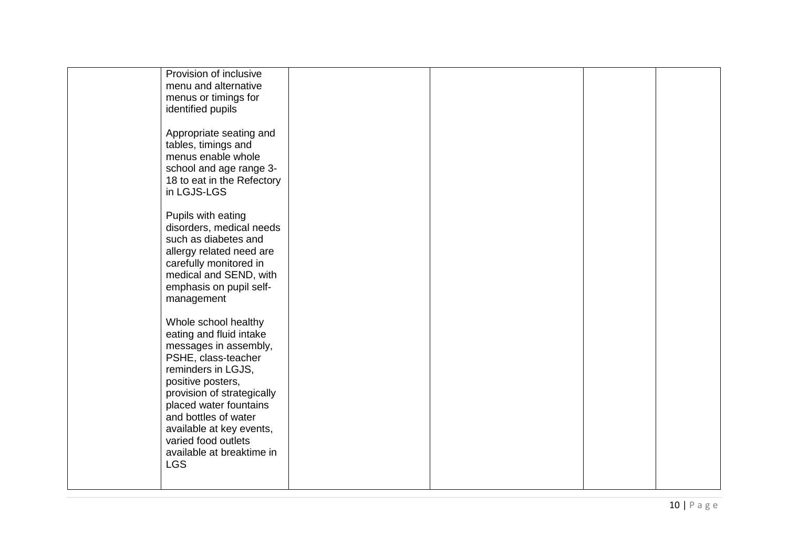| Provision of inclusive     |  |  |
|----------------------------|--|--|
| menu and alternative       |  |  |
| menus or timings for       |  |  |
|                            |  |  |
| identified pupils          |  |  |
|                            |  |  |
| Appropriate seating and    |  |  |
| tables, timings and        |  |  |
|                            |  |  |
| menus enable whole         |  |  |
| school and age range 3-    |  |  |
| 18 to eat in the Refectory |  |  |
| in LGJS-LGS                |  |  |
|                            |  |  |
|                            |  |  |
| Pupils with eating         |  |  |
| disorders, medical needs   |  |  |
| such as diabetes and       |  |  |
| allergy related need are   |  |  |
|                            |  |  |
| carefully monitored in     |  |  |
| medical and SEND, with     |  |  |
| emphasis on pupil self-    |  |  |
| management                 |  |  |
|                            |  |  |
|                            |  |  |
| Whole school healthy       |  |  |
| eating and fluid intake    |  |  |
| messages in assembly,      |  |  |
|                            |  |  |
| PSHE, class-teacher        |  |  |
| reminders in LGJS,         |  |  |
| positive posters,          |  |  |
| provision of strategically |  |  |
| placed water fountains     |  |  |
|                            |  |  |
| and bottles of water       |  |  |
| available at key events,   |  |  |
| varied food outlets        |  |  |
| available at breaktime in  |  |  |
|                            |  |  |
| <b>LGS</b>                 |  |  |
|                            |  |  |
|                            |  |  |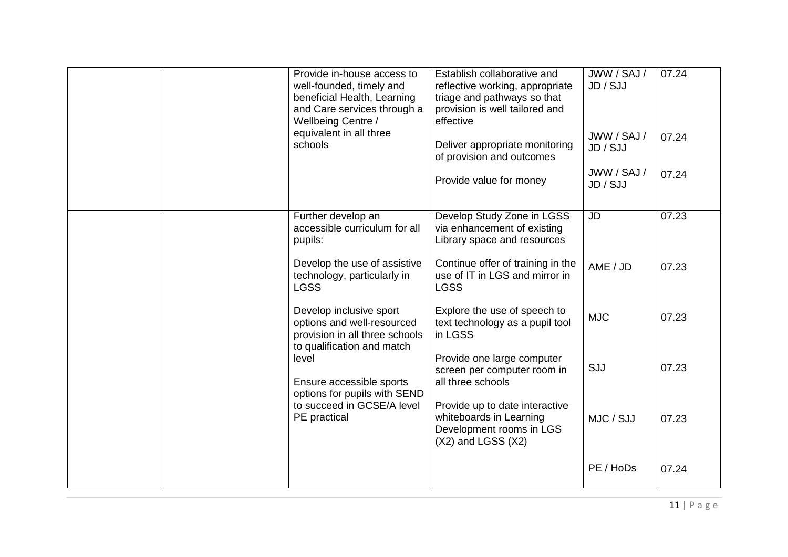| Provide in-house access to | well-founded, timely and<br>beneficial Health, Learning<br>and Care services through a<br>Wellbeing Centre /<br>equivalent in all three<br>schools                                                                                                                                                                                                                              | Establish collaborative and<br>reflective working, appropriate<br>triage and pathways so that<br>provision is well tailored and<br>effective<br>Deliver appropriate monitoring<br>of provision and outcomes<br>Provide value for money                                                                                                                                                                                                                            | JWW / SAJ /<br>JD / SJJ<br>JWW / SAJ /<br>JD / SJJ<br>JWW / SAJ /<br>JD / SJJ | 07.24<br>07.24<br>07.24                            |
|----------------------------|---------------------------------------------------------------------------------------------------------------------------------------------------------------------------------------------------------------------------------------------------------------------------------------------------------------------------------------------------------------------------------|-------------------------------------------------------------------------------------------------------------------------------------------------------------------------------------------------------------------------------------------------------------------------------------------------------------------------------------------------------------------------------------------------------------------------------------------------------------------|-------------------------------------------------------------------------------|----------------------------------------------------|
| level                      | Further develop an<br>accessible curriculum for all<br>pupils:<br>Develop the use of assistive<br>technology, particularly in<br><b>LGSS</b><br>Develop inclusive sport<br>options and well-resourced<br>provision in all three schools<br>to qualification and match<br>Ensure accessible sports<br>options for pupils with SEND<br>to succeed in GCSE/A level<br>PE practical | Develop Study Zone in LGSS<br>via enhancement of existing<br>Library space and resources<br>Continue offer of training in the<br>use of IT in LGS and mirror in<br><b>LGSS</b><br>Explore the use of speech to<br>text technology as a pupil tool<br>in LGSS<br>Provide one large computer<br>screen per computer room in<br>all three schools<br>Provide up to date interactive<br>whiteboards in Learning<br>Development rooms in LGS<br>$(X2)$ and LGSS $(X2)$ | <b>JD</b><br>AME / JD<br><b>MJC</b><br>SJJ<br>MJC / SJJ<br>PE / HoDs          | 07.23<br>07.23<br>07.23<br>07.23<br>07.23<br>07.24 |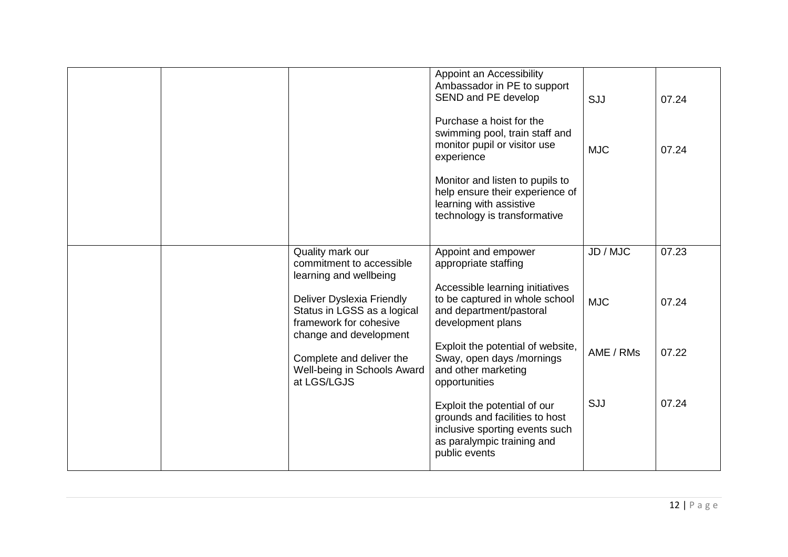|  |                                                                                                                                        | Appoint an Accessibility<br>Ambassador in PE to support<br>SEND and PE develop<br>Purchase a hoist for the<br>swimming pool, train staff and<br>monitor pupil or visitor use<br>experience | SJJ<br><b>MJC</b> | 07.24<br>07.24 |
|--|----------------------------------------------------------------------------------------------------------------------------------------|--------------------------------------------------------------------------------------------------------------------------------------------------------------------------------------------|-------------------|----------------|
|  |                                                                                                                                        | Monitor and listen to pupils to<br>help ensure their experience of<br>learning with assistive<br>technology is transformative                                                              |                   |                |
|  | Quality mark our<br>commitment to accessible                                                                                           | Appoint and empower<br>appropriate staffing                                                                                                                                                | JD / MJC          | 07.23          |
|  | learning and wellbeing<br>Deliver Dyslexia Friendly<br>Status in LGSS as a logical<br>framework for cohesive<br>change and development | Accessible learning initiatives<br>to be captured in whole school<br>and department/pastoral<br>development plans                                                                          | <b>MJC</b>        | 07.24          |
|  | Complete and deliver the<br>Well-being in Schools Award<br>at LGS/LGJS                                                                 | Exploit the potential of website,<br>Sway, open days /mornings<br>and other marketing<br>opportunities                                                                                     | AME / RMs         | 07.22          |
|  |                                                                                                                                        | Exploit the potential of our<br>grounds and facilities to host<br>inclusive sporting events such<br>as paralympic training and<br>public events                                            | SJJ               | 07.24          |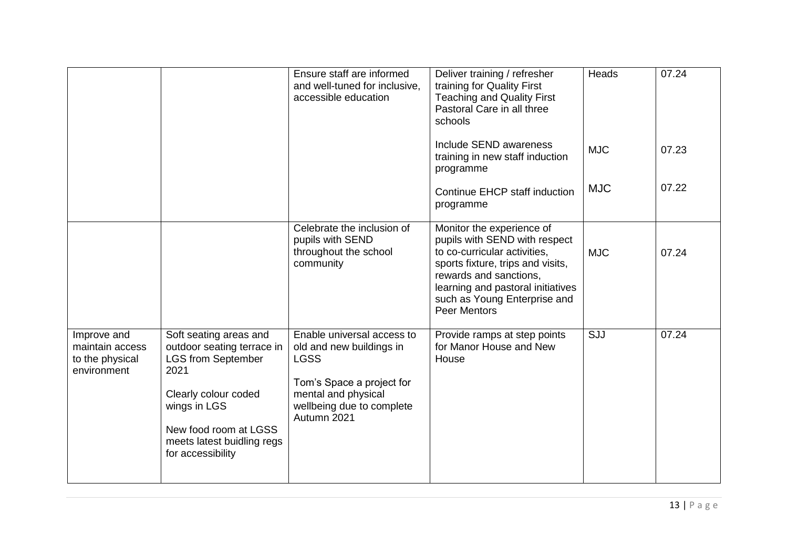|                                                                  |                                                                                                                                                                                                               | Ensure staff are informed<br>and well-tuned for inclusive,<br>accessible education                                                                                    | Deliver training / refresher<br>training for Quality First<br><b>Teaching and Quality First</b><br>Pastoral Care in all three<br>schools                                                                                                              | <b>Heads</b> | 07.24 |
|------------------------------------------------------------------|---------------------------------------------------------------------------------------------------------------------------------------------------------------------------------------------------------------|-----------------------------------------------------------------------------------------------------------------------------------------------------------------------|-------------------------------------------------------------------------------------------------------------------------------------------------------------------------------------------------------------------------------------------------------|--------------|-------|
|                                                                  |                                                                                                                                                                                                               |                                                                                                                                                                       | Include SEND awareness<br>training in new staff induction<br>programme                                                                                                                                                                                | <b>MJC</b>   | 07.23 |
|                                                                  |                                                                                                                                                                                                               |                                                                                                                                                                       | Continue EHCP staff induction<br>programme                                                                                                                                                                                                            | <b>MJC</b>   | 07.22 |
|                                                                  |                                                                                                                                                                                                               | Celebrate the inclusion of<br>pupils with SEND<br>throughout the school<br>community                                                                                  | Monitor the experience of<br>pupils with SEND with respect<br>to co-curricular activities,<br>sports fixture, trips and visits,<br>rewards and sanctions,<br>learning and pastoral initiatives<br>such as Young Enterprise and<br><b>Peer Mentors</b> | <b>MJC</b>   | 07.24 |
| Improve and<br>maintain access<br>to the physical<br>environment | Soft seating areas and<br>outdoor seating terrace in<br><b>LGS from September</b><br>2021<br>Clearly colour coded<br>wings in LGS<br>New food room at LGSS<br>meets latest buidling regs<br>for accessibility | Enable universal access to<br>old and new buildings in<br><b>LGSS</b><br>Tom's Space a project for<br>mental and physical<br>wellbeing due to complete<br>Autumn 2021 | Provide ramps at step points<br>for Manor House and New<br>House                                                                                                                                                                                      | SJJ          | 07.24 |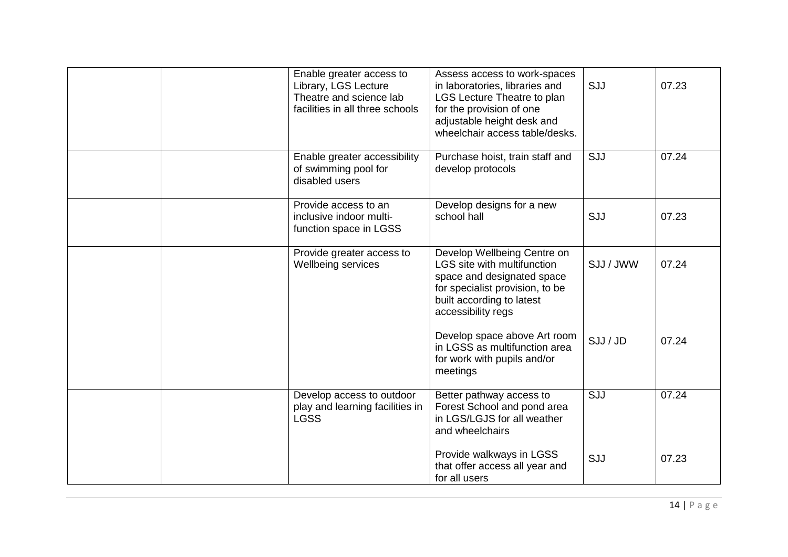| Enable greater access to<br>Library, LGS Lecture<br>Theatre and science lab<br>facilities in all three schools | Assess access to work-spaces<br>in laboratories, libraries and<br>LGS Lecture Theatre to plan<br>for the provision of one<br>adjustable height desk and<br>wheelchair access table/desks. | SJJ       | 07.23 |
|----------------------------------------------------------------------------------------------------------------|-------------------------------------------------------------------------------------------------------------------------------------------------------------------------------------------|-----------|-------|
| Enable greater accessibility<br>of swimming pool for<br>disabled users                                         | Purchase hoist, train staff and<br>develop protocols                                                                                                                                      | SJJ       | 07.24 |
| Provide access to an<br>inclusive indoor multi-<br>function space in LGSS                                      | Develop designs for a new<br>school hall                                                                                                                                                  | SJJ       | 07.23 |
| Provide greater access to<br>Wellbeing services                                                                | Develop Wellbeing Centre on<br>LGS site with multifunction<br>space and designated space<br>for specialist provision, to be<br>built according to latest<br>accessibility regs            | SJJ / JWW | 07.24 |
|                                                                                                                | Develop space above Art room<br>in LGSS as multifunction area<br>for work with pupils and/or<br>meetings                                                                                  | SJJ / JD  | 07.24 |
| Develop access to outdoor<br>play and learning facilities in<br><b>LGSS</b>                                    | Better pathway access to<br>Forest School and pond area<br>in LGS/LGJS for all weather<br>and wheelchairs                                                                                 | SJJ       | 07.24 |
|                                                                                                                | Provide walkways in LGSS<br>that offer access all year and<br>for all users                                                                                                               | SJJ       | 07.23 |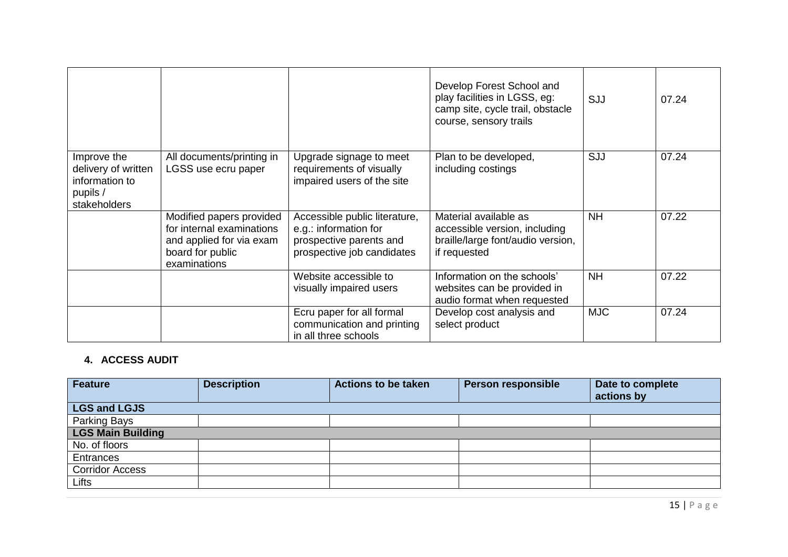|                                                                                  |                                                                                                                       |                                                                                                                 | Develop Forest School and<br>play facilities in LGSS, eg:<br>camp site, cycle trail, obstacle<br>course, sensory trails | SJJ        | 07.24 |
|----------------------------------------------------------------------------------|-----------------------------------------------------------------------------------------------------------------------|-----------------------------------------------------------------------------------------------------------------|-------------------------------------------------------------------------------------------------------------------------|------------|-------|
| Improve the<br>delivery of written<br>information to<br>pupils /<br>stakeholders | All documents/printing in<br>LGSS use ecru paper                                                                      | Upgrade signage to meet<br>requirements of visually<br>impaired users of the site                               | Plan to be developed,<br>including costings                                                                             | SJJ        | 07.24 |
|                                                                                  | Modified papers provided<br>for internal examinations<br>and applied for via exam<br>board for public<br>examinations | Accessible public literature,<br>e.g.: information for<br>prospective parents and<br>prospective job candidates | Material available as<br>accessible version, including<br>braille/large font/audio version,<br>if requested             | <b>NH</b>  | 07.22 |
|                                                                                  |                                                                                                                       | Website accessible to<br>visually impaired users                                                                | Information on the schools'<br>websites can be provided in<br>audio format when requested                               | <b>NH</b>  | 07.22 |
|                                                                                  |                                                                                                                       | Ecru paper for all formal<br>communication and printing<br>in all three schools                                 | Develop cost analysis and<br>select product                                                                             | <b>MJC</b> | 07.24 |

## **4. ACCESS AUDIT**

| <b>Feature</b>           | <b>Description</b> | <b>Actions to be taken</b> | <b>Person responsible</b> | Date to complete<br>actions by |  |
|--------------------------|--------------------|----------------------------|---------------------------|--------------------------------|--|
| <b>LGS and LGJS</b>      |                    |                            |                           |                                |  |
| Parking Bays             |                    |                            |                           |                                |  |
| <b>LGS Main Building</b> |                    |                            |                           |                                |  |
| No. of floors            |                    |                            |                           |                                |  |
| Entrances                |                    |                            |                           |                                |  |
| <b>Corridor Access</b>   |                    |                            |                           |                                |  |
| Lifts                    |                    |                            |                           |                                |  |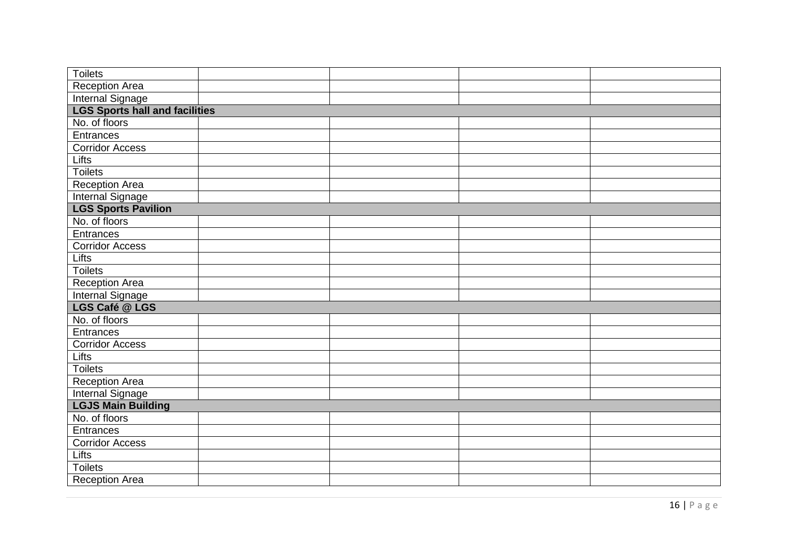| <b>Toilets</b>                        |  |  |  |  |  |
|---------------------------------------|--|--|--|--|--|
| Reception Area                        |  |  |  |  |  |
| <b>Internal Signage</b>               |  |  |  |  |  |
| <b>LGS Sports hall and facilities</b> |  |  |  |  |  |
| No. of floors                         |  |  |  |  |  |
| Entrances                             |  |  |  |  |  |
| <b>Corridor Access</b>                |  |  |  |  |  |
| <b>Lifts</b>                          |  |  |  |  |  |
| <b>Toilets</b>                        |  |  |  |  |  |
| <b>Reception Area</b>                 |  |  |  |  |  |
| <b>Internal Signage</b>               |  |  |  |  |  |
| <b>LGS Sports Pavilion</b>            |  |  |  |  |  |
| No. of floors                         |  |  |  |  |  |
| Entrances                             |  |  |  |  |  |
| <b>Corridor Access</b>                |  |  |  |  |  |
| <b>Lifts</b>                          |  |  |  |  |  |
| <b>Toilets</b>                        |  |  |  |  |  |
| Reception Area                        |  |  |  |  |  |
| <b>Internal Signage</b>               |  |  |  |  |  |
| LGS Café @ LGS                        |  |  |  |  |  |
| No. of floors                         |  |  |  |  |  |
| Entrances                             |  |  |  |  |  |
| <b>Corridor Access</b>                |  |  |  |  |  |
| <b>Lifts</b>                          |  |  |  |  |  |
| <b>Toilets</b>                        |  |  |  |  |  |
| <b>Reception Area</b>                 |  |  |  |  |  |
| <b>Internal Signage</b>               |  |  |  |  |  |
| <b>LGJS Main Building</b>             |  |  |  |  |  |
| No. of floors                         |  |  |  |  |  |
| Entrances                             |  |  |  |  |  |
| <b>Corridor Access</b>                |  |  |  |  |  |
| Lifts                                 |  |  |  |  |  |
| <b>Toilets</b>                        |  |  |  |  |  |
| <b>Reception Area</b>                 |  |  |  |  |  |
|                                       |  |  |  |  |  |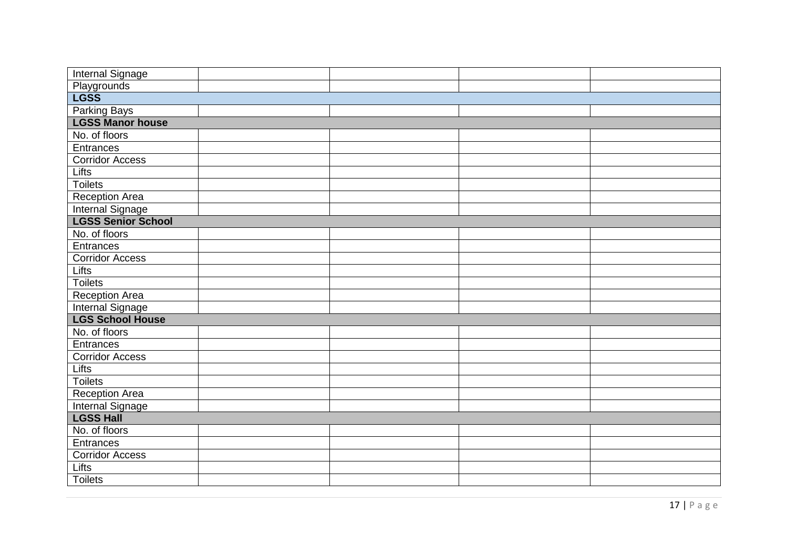| Playgrounds<br><b>LGSS</b>        |  |  |  |  |  |
|-----------------------------------|--|--|--|--|--|
|                                   |  |  |  |  |  |
|                                   |  |  |  |  |  |
|                                   |  |  |  |  |  |
|                                   |  |  |  |  |  |
|                                   |  |  |  |  |  |
|                                   |  |  |  |  |  |
|                                   |  |  |  |  |  |
|                                   |  |  |  |  |  |
|                                   |  |  |  |  |  |
|                                   |  |  |  |  |  |
|                                   |  |  |  |  |  |
|                                   |  |  |  |  |  |
|                                   |  |  |  |  |  |
|                                   |  |  |  |  |  |
|                                   |  |  |  |  |  |
|                                   |  |  |  |  |  |
|                                   |  |  |  |  |  |
|                                   |  |  |  |  |  |
|                                   |  |  |  |  |  |
|                                   |  |  |  |  |  |
|                                   |  |  |  |  |  |
|                                   |  |  |  |  |  |
|                                   |  |  |  |  |  |
|                                   |  |  |  |  |  |
|                                   |  |  |  |  |  |
| <b>LGSS Hall</b><br>No. of floors |  |  |  |  |  |
|                                   |  |  |  |  |  |
|                                   |  |  |  |  |  |
|                                   |  |  |  |  |  |
|                                   |  |  |  |  |  |
|                                   |  |  |  |  |  |
|                                   |  |  |  |  |  |